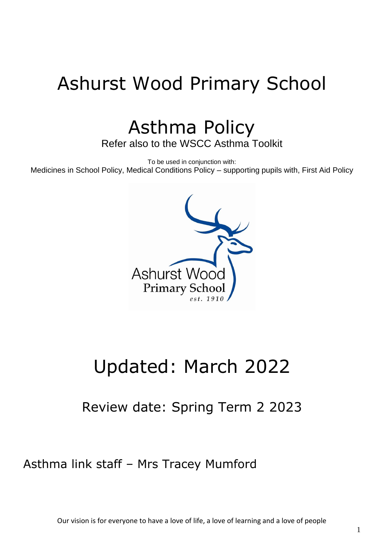# Ashurst Wood Primary School

Asthma Policy

Refer also to the WSCC Asthma Toolkit

To be used in conjunction with: Medicines in School Policy, Medical Conditions Policy – supporting pupils with, First Aid Policy



# Updated: March 2022

Review date: Spring Term 2 2023

Asthma link staff – Mrs Tracey Mumford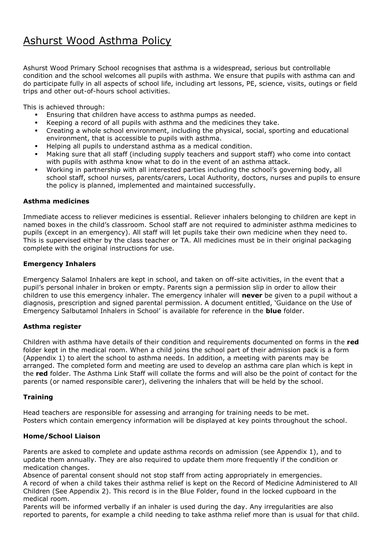# Ashurst Wood Asthma Policy

Ashurst Wood Primary School recognises that asthma is a widespread, serious but controllable condition and the school welcomes all pupils with asthma. We ensure that pupils with asthma can and do participate fully in all aspects of school life, including art lessons, PE, science, visits, outings or field trips and other out-of-hours school activities.

This is achieved through:

- **Ensuring that children have access to asthma pumps as needed.**
- Keeping a record of all pupils with asthma and the medicines they take.
- Creating a whole school environment, including the physical, social, sporting and educational environment, that is accessible to pupils with asthma.
- Helping all pupils to understand asthma as a medical condition.
- Making sure that all staff (including supply teachers and support staff) who come into contact with pupils with asthma know what to do in the event of an asthma attack.
- Working in partnership with all interested parties including the school's governing body, all school staff, school nurses, parents/carers, Local Authority, doctors, nurses and pupils to ensure the policy is planned, implemented and maintained successfully.

#### **Asthma medicines**

Immediate access to reliever medicines is essential. Reliever inhalers belonging to children are kept in named boxes in the child's classroom. School staff are not required to administer asthma medicines to pupils (except in an emergency). All staff will let pupils take their own medicine when they need to. This is supervised either by the class teacher or TA. All medicines must be in their original packaging complete with the original instructions for use.

#### **Emergency Inhalers**

Emergency Salamol Inhalers are kept in school, and taken on off-site activities, in the event that a pupil's personal inhaler in broken or empty. Parents sign a permission slip in order to allow their children to use this emergency inhaler. The emergency inhaler will **never** be given to a pupil without a diagnosis, prescription and signed parental permission. A document entitled, 'Guidance on the Use of Emergency Salbutamol Inhalers in School' is available for reference in the **blue** folder.

#### **Asthma register**

Children with asthma have details of their condition and requirements documented on forms in the **red** folder kept in the medical room. When a child joins the school part of their admission pack is a form (Appendix 1) to alert the school to asthma needs. In addition, a meeting with parents may be arranged. The completed form and meeting are used to develop an asthma care plan which is kept in the **red** folder. The Asthma Link Staff will collate the forms and will also be the point of contact for the parents (or named responsible carer), delivering the inhalers that will be held by the school.

#### **Training**

Head teachers are responsible for assessing and arranging for training needs to be met. Posters which contain emergency information will be displayed at key points throughout the school.

#### **Home/School Liaison**

Parents are asked to complete and update asthma records on admission (see Appendix 1), and to update them annually. They are also required to update them more frequently if the condition or medication changes.

Absence of parental consent should not stop staff from acting appropriately in emergencies. A record of when a child takes their asthma relief is kept on the Record of Medicine Administered to All Children (See Appendix 2). This record is in the Blue Folder, found in the locked cupboard in the medical room.

Parents will be informed verbally if an inhaler is used during the day. Any irregularities are also reported to parents, for example a child needing to take asthma relief more than is usual for that child.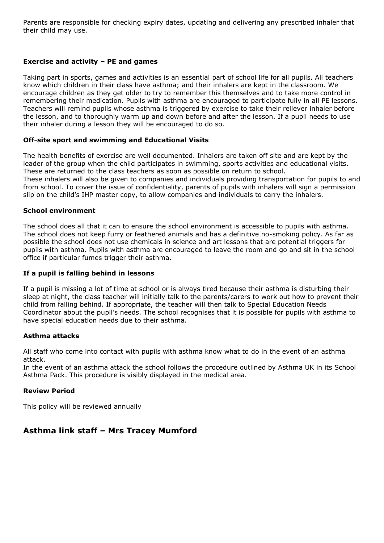Parents are responsible for checking expiry dates, updating and delivering any prescribed inhaler that their child may use.

#### **Exercise and activity – PE and games**

Taking part in sports, games and activities is an essential part of school life for all pupils. All teachers know which children in their class have asthma; and their inhalers are kept in the classroom. We encourage children as they get older to try to remember this themselves and to take more control in remembering their medication. Pupils with asthma are encouraged to participate fully in all PE lessons. Teachers will remind pupils whose asthma is triggered by exercise to take their reliever inhaler before the lesson, and to thoroughly warm up and down before and after the lesson. If a pupil needs to use their inhaler during a lesson they will be encouraged to do so.

#### **Off-site sport and swimming and Educational Visits**

The health benefits of exercise are well documented. Inhalers are taken off site and are kept by the leader of the group when the child participates in swimming, sports activities and educational visits. These are returned to the class teachers as soon as possible on return to school. These inhalers will also be given to companies and individuals providing transportation for pupils to and from school. To cover the issue of confidentiality, parents of pupils with inhalers will sign a permission slip on the child's IHP master copy, to allow companies and individuals to carry the inhalers.

#### **School environment**

The school does all that it can to ensure the school environment is accessible to pupils with asthma. The school does not keep furry or feathered animals and has a definitive no-smoking policy. As far as possible the school does not use chemicals in science and art lessons that are potential triggers for pupils with asthma. Pupils with asthma are encouraged to leave the room and go and sit in the school office if particular fumes trigger their asthma.

#### **If a pupil is falling behind in lessons**

If a pupil is missing a lot of time at school or is always tired because their asthma is disturbing their sleep at night, the class teacher will initially talk to the parents/carers to work out how to prevent their child from falling behind. If appropriate, the teacher will then talk to Special Education Needs Coordinator about the pupil's needs. The school recognises that it is possible for pupils with asthma to have special education needs due to their asthma.

#### **Asthma attacks**

All staff who come into contact with pupils with asthma know what to do in the event of an asthma attack.

In the event of an asthma attack the school follows the procedure outlined by Asthma UK in its School Asthma Pack. This procedure is visibly displayed in the medical area.

#### **Review Period**

This policy will be reviewed annually

### **Asthma link staff – Mrs Tracey Mumford**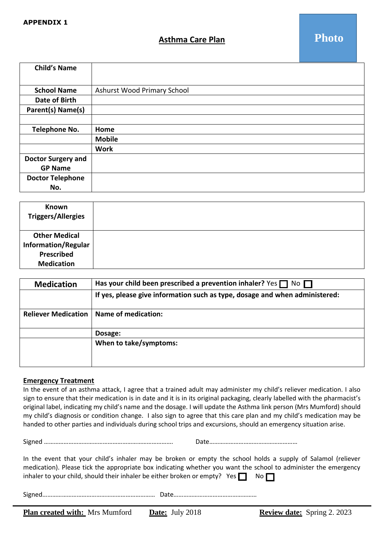#### **Asthma Care Plan**

| <b>Child's Name</b>       |                             |  |  |  |  |
|---------------------------|-----------------------------|--|--|--|--|
|                           |                             |  |  |  |  |
| <b>School Name</b>        | Ashurst Wood Primary School |  |  |  |  |
| Date of Birth             |                             |  |  |  |  |
| Parent(s) Name(s)         |                             |  |  |  |  |
|                           |                             |  |  |  |  |
| Telephone No.             | Home                        |  |  |  |  |
|                           | <b>Mobile</b>               |  |  |  |  |
|                           | <b>Work</b>                 |  |  |  |  |
| <b>Doctor Surgery and</b> |                             |  |  |  |  |
| <b>GP Name</b>            |                             |  |  |  |  |
| <b>Doctor Telephone</b>   |                             |  |  |  |  |
| No.                       |                             |  |  |  |  |

| Known<br><b>Triggers/Allergies</b> |  |
|------------------------------------|--|
| <b>Other Medical</b>               |  |
| <b>Information/Regular</b>         |  |
| Prescribed                         |  |
| <b>Medication</b>                  |  |

| <b>Medication</b>          | Has your child been prescribed a prevention inhaler? Yes $\Box$ No $\Box$   |  |  |  |  |  |  |
|----------------------------|-----------------------------------------------------------------------------|--|--|--|--|--|--|
|                            | If yes, please give information such as type, dosage and when administered: |  |  |  |  |  |  |
| <b>Reliever Medication</b> | Name of medication:                                                         |  |  |  |  |  |  |
|                            | Dosage:                                                                     |  |  |  |  |  |  |
|                            | When to take/symptoms:                                                      |  |  |  |  |  |  |

#### **Emergency Treatment**

In the event of an asthma attack, I agree that a trained adult may administer my child's reliever medication. I also sign to ensure that their medication is in date and it is in its original packaging, clearly labelled with the pharmacist's original label, indicating my child's name and the dosage. I will update the Asthma link person (Mrs Mumford) should my child's diagnosis or condition change. I also sign to agree that this care plan and my child's medication may be f f handed to other parties and individuals during school trips and excursions, should an emergency situation arise. o

Signed ……………………………………………………………………. Date………………………………………………

m

In the event that your child's inhaler may be broken or empty the school holds a supply of Salamol (reliever medication). Please tick the appropriate box indicating whether you want the school to administer the emergency h h inhaler to your child, should their inhaler be either broken or empty? Yes  $\Box$  No  $\Box$ 

Signed…………………………………………………………… Date……………………………………………

o

o